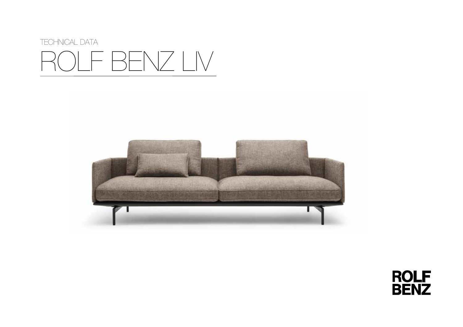



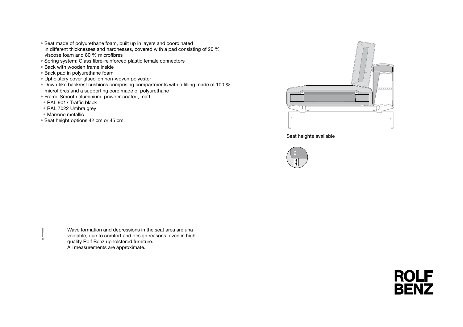- Seat made of polyurethane foam, built up in layers and coordinated in different thicknesses and hardnesses, covered with a pad consisting of 20 % viscose foam and 80 % microfibres
- Spring system: Glass fibre-reinforced plastic female connectors
- Back with wooden frame inside
- Back pad in polyurethane foam
- Upholstery cover glued-on non-woven polyester
- Down-like backrest cushions comprising compartments with a filling made of 100 % microfibres and a supporting core made of polyurethane
- Frame Smooth aluminium, powder-coated, matt:
- RAL 9017 Traffic black
- RAL 7022 Umbra grey
- Marrone metallic
- Seat height options 42 cm or 45 cm



Seat heights available



Wave formation and depressions in the seat area are una-<br>voidable, due to comfort and design reasons, even in high<br>quality Rolf Benz upholstered furniture. voidable, due to comfort and design reasons, even in high quality Rolf Benz upholstered furniture. All measurements are approximate.

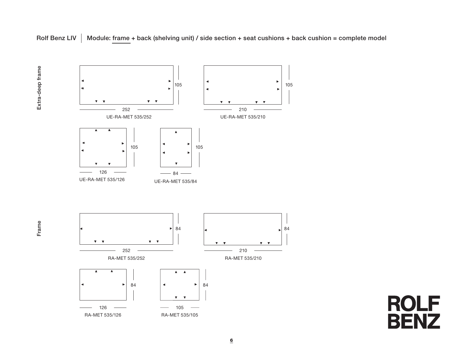

Frame



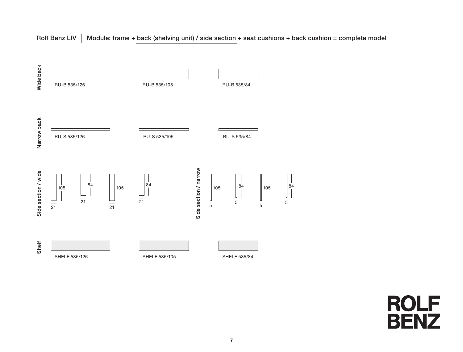# Rolf Benz LIV  $\parallel$  Module: frame + back (shelving unit) / side section + seat cushions + back cushion = complete model



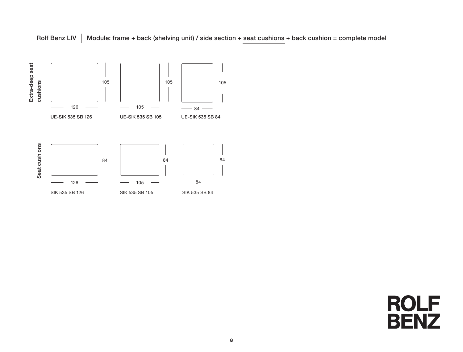



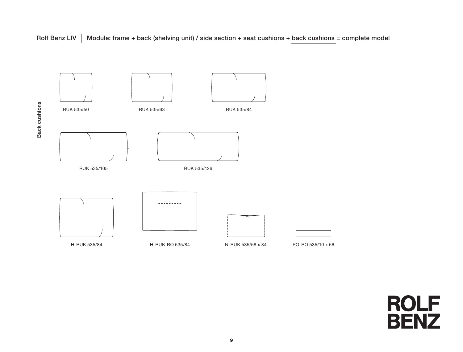Rolf Benz LIV  $\parallel$  Module: frame + back (shelving unit) / side section + seat cushions + back cushions = complete model



Back cushions Back cushions

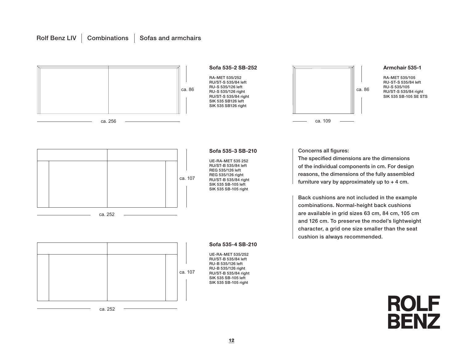## Rolf Benz LIV  $\parallel$  Combinations  $\parallel$  Sofas and armchairs

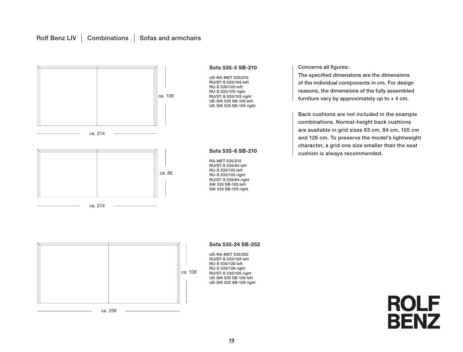### Rolf Benz LIV  $\vert$  Combinations  $\vert$  Sofas and armchairs



#### Concerns all figures:

The specified dimensions are the dimensions of the individual components in cm. For design reasons, the dimensions of the fully assembled furniture vary by approximately up to + 4 cm.

Back cushions are not included in the example combinations. Normal-height back cushions are available in grid sizes 63 cm, 84 cm, 105 cm and 126 cm. To preserve the model's lightweight character, a grid one size smaller than the seat cushion is always recommended.

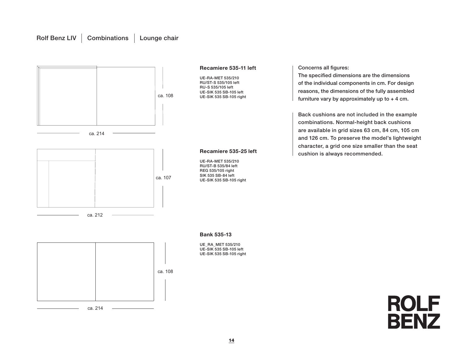## Rolf Benz LIV | Combinations | Lounge chair

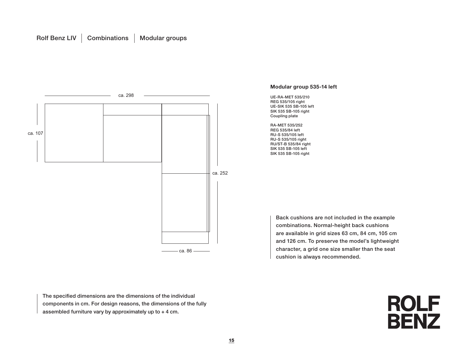

**Modular group 535-14 left**

UE-RA-MET 535/210 REG 535/105 right UE-SIK 535 SB-105 left SIK 535 SB-105 right Coupling plate

RA-MET 535/252 REG 535/84 left RU-S 535/105 left RU-S 535/105 right RU/ST-B 535/84 right SIK 535 SB-105 left SIK 535 SB-105 right

> Back cushions are not included in the example combinations. Normal-height back cushions are available in grid sizes 63 cm, 84 cm, 105 cm and 126 cm. To preserve the model's lightweight character, a grid one size smaller than the seat cushion is always recommended.

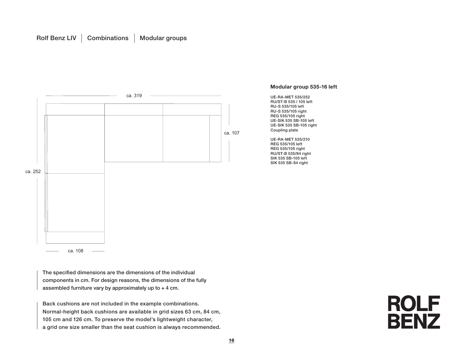

The specified dimensions are the dimensions of the individual components in cm. For design reasons, the dimensions of the fully assembled furniture vary by approximately up to + 4 cm.

Back cushions are not included in the example combinations. Normal-height back cushions are available in grid sizes 63 cm, 84 cm, 105 cm and 126 cm. To preserve the model's lightweight character, a grid one size smaller than the seat cushion is always recommended.

#### **Modular group 535-16 left**

UE-RA-MET 535/252 RU/ST-B 535 / 105 left RU-S 535/105 left RU-S 535/105 right REG 535/105 right UE-SIK 535 SB-105 left UE-SIK 535 SB-105 right Coupling plate

UE-RA-MET 535/210 REG 535/105 left REG 535/105 right RU/ST-B 535/84 right SIK 535 SB-105 left SIK 535 SB-84 right

# **ROLF BENZ**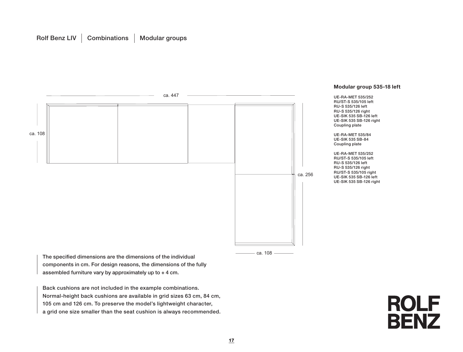

**Modular group 535-18 left**

UE-RA-MET 535/252 RU/ST-S 535/105 left RU-S 535/126 left RU-S 535/126 right UE-SIK 535 SB-126 left UE-SIK 535 SB-126 right Coupling plate

UE-RA-MET 535/84 UE-SIK 535 SB-84 Coupling plate

UE-RA-MET 535/252 RU/ST-S 535/105 left RU-S 535/126 left RU-S 535/126 right RU/ST-S 535/105 right UE-SIK 535 SB-126 left UE-SIK 535 SB-126 right

The specified dimensions are the dimensions of the individual components in cm. For design reasons, the dimensions of the fully assembled furniture vary by approximately up to + 4 cm.

Back cushions are not included in the example combinations. Normal-height back cushions are available in grid sizes 63 cm, 84 cm, 105 cm and 126 cm. To preserve the model's lightweight character, a grid one size smaller than the seat cushion is always recommended.

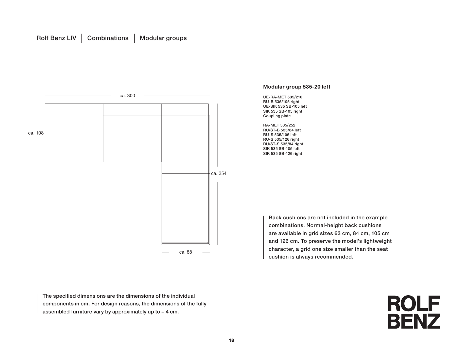

**Modular group 535-20 left**

UE-RA-MET 535/210 RU-B 535/105 right UE-SIK 535 SB-105 left SIK 535 SB-105 right Coupling plate

RA-MET 535/252 RU/ST-B 535/84 left RU-S 535/105 left RU-S 535/126 right RU/ST-S 535/84 right SIK 535 SB-105 left SIK 535 SB-126 right

> Back cushions are not included in the example combinations. Normal-height back cushions are available in grid sizes 63 cm, 84 cm, 105 cm and 126 cm. To preserve the model's lightweight character, a grid one size smaller than the seat cushion is always recommended.

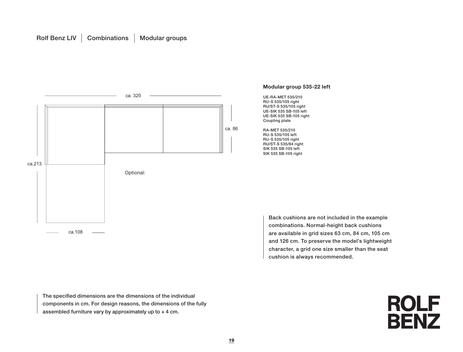# Rolf Benz LIV | Combinations | Modular groups



The specified dimensions are the dimensions of the individual components in cm. For design reasons, the dimensions of the fully assembled furniture vary by approximately up to + 4 cm.



cushion is always recommended.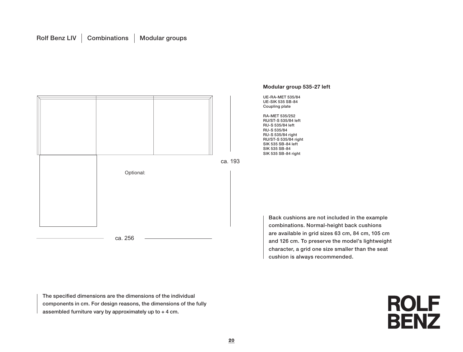# Rolf Benz LIV | Combinations | Modular groups



**Modular group 535-27 left**

Back cushions are not included in the example combinations. Normal-height back cushions are available in grid sizes 63 cm, 84 cm, 105 cm and 126 cm. To preserve the model's lightweight character, a grid one size smaller than the seat cushion is always recommended.

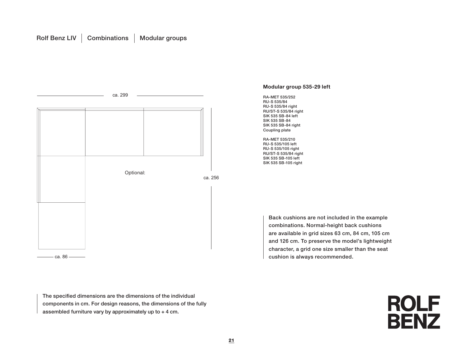

The specified dimensions are the dimensions of the individual components in cm. For design reasons, the dimensions of the fully assembled furniture vary by approximately up to + 4 cm.

#### **Modular group 535-29 left**

RA-MET 535/252 RU-S 535/84 RU-S 535/84 right RU/ST-S 535/84 right SIK 535 SB-84 left SIK 535 SB-84 SIK 535 SB-84 right Coupling plate

RA-MET 535/210 RU-S 535/105 left RU-S 535/105 right RU/ST-S 535/84 right SIK 535 SB-105 left SIK 535 SB-105 right

> Back cushions are not included in the example combinations. Normal-height back cushions are available in grid sizes 63 cm, 84 cm, 105 cm and 126 cm. To preserve the model's lightweight character, a grid one size smaller than the seat cushion is always recommended.